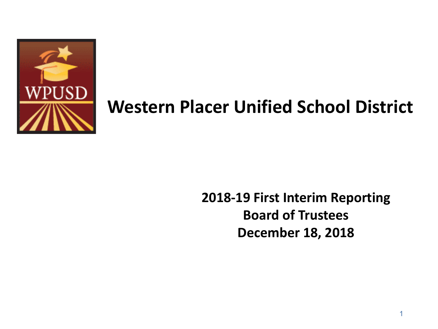

## **Western Placer Unified School District**

## **2018-19 First Interim Reporting Board of Trustees December 18, 2018**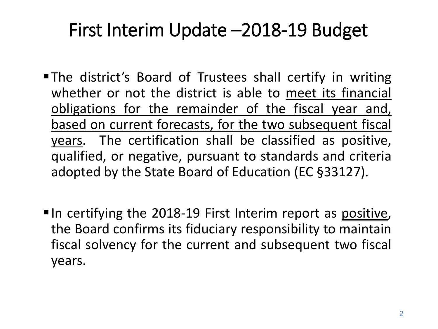## First Interim Update –2018-19 Budget

- The district's Board of Trustees shall certify in writing whether or not the district is able to meet its financial obligations for the remainder of the fiscal year and, based on current forecasts, for the two subsequent fiscal years. The certification shall be classified as positive, qualified, or negative, pursuant to standards and criteria adopted by the State Board of Education (EC §33127).
- $\blacksquare$  In certifying the 2018-19 First Interim report as positive, the Board confirms its fiduciary responsibility to maintain fiscal solvency for the current and subsequent two fiscal years.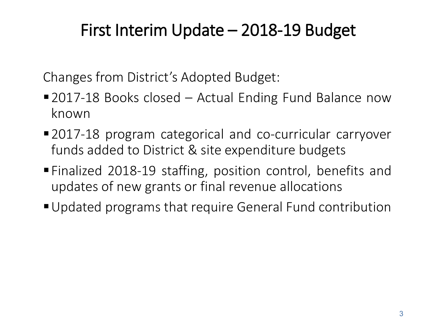## First Interim Update – 2018-19 Budget

Changes from District's Adopted Budget:

- 2017-18 Books closed Actual Ending Fund Balance now known
- 2017-18 program categorical and co-curricular carryover funds added to District & site expenditure budgets
- Finalized 2018-19 staffing, position control, benefits and updates of new grants or final revenue allocations
- Updated programs that require General Fund contribution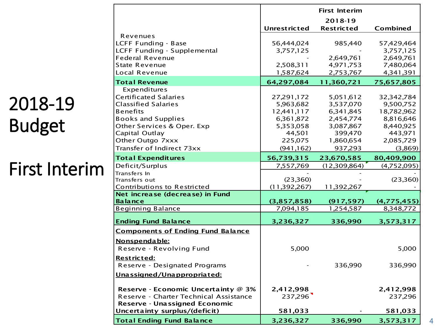## 2018-19 Budget

## First Interim

|                                                                |                     | <b>First Interim</b> |             |
|----------------------------------------------------------------|---------------------|----------------------|-------------|
|                                                                |                     | 2018-19              |             |
|                                                                | <b>Unrestricted</b> | <b>Restricted</b>    | Combined    |
| Revenues                                                       |                     |                      |             |
| LCFF Funding - Base                                            | 56,444,024          | 985,440              | 57,429,464  |
| LCFF Funding - Supplemental                                    | 3,757,125           |                      | 3,757,125   |
| <b>Federal Revenue</b>                                         |                     | 2,649,761            | 2,649,761   |
| <b>State Revenue</b>                                           | 2,508,311           | 4,971,753            | 7,480,064   |
| Local Revenue                                                  | 1,587,624           | 2,753,767            | 4,341,391   |
| <b>Total Revenue</b>                                           | 64,297,084          | 11,360,721           | 75,657,805  |
| Expenditures                                                   |                     |                      |             |
| <b>Certificated Salaries</b>                                   | 27, 291, 172        | 5,051,612            | 32,342,784  |
| <b>Classified Salaries</b>                                     | 5,963,682           | 3,537,070            | 9,500,752   |
| <b>Benefits</b>                                                | 12,441,117          | 6,341,845            | 18,782,962  |
| <b>Books and Supplies</b>                                      | 6,361,872           | 2,454,774            | 8,816,646   |
| Other Services & Oper. Exp                                     | 5,353,058           | 3,087,867            | 8,440,925   |
| Capital Outlay                                                 | 44,501              | 399,470              | 443,971     |
| Other Outgo 7xxx                                               | 225,075             | 1,860,654            | 2,085,729   |
| Transfer of Indirect 73xx                                      | (941, 162)          | 937,293              | (3,869)     |
| <b>Total Expenditures</b>                                      | 56,739,315          | 23,670,585           | 80,409,900  |
| Deficit/Surplus                                                | 7,557,769           | (12,309,864)         | (4,752,095) |
| Transfers In                                                   |                     |                      |             |
| Transfers out                                                  | (23,360)            |                      | (23,360)    |
| Contributions to Restricted<br>Net increase (decrease) in Fund | (11,392,267)        | 11,392,267           |             |
| <b>Balance</b>                                                 | (3,857,858)         | (917, 597)           | (4,775,455) |
| <b>Beginning Balance</b>                                       | 7,094,185           | 1,254,587            | 8,348,772   |
|                                                                |                     |                      |             |
| <b>Ending Fund Balance</b>                                     | 3,236,327           | 336,990              | 3,573,317   |
| <b>Components of Ending Fund Balance</b>                       |                     |                      |             |
| Nonspendable:                                                  |                     |                      |             |
| Reserve - Revolving Fund                                       | 5,000               |                      | 5,000       |
| Restricted:                                                    |                     |                      |             |
| Reserve - Designated Programs                                  |                     | 336,990              | 336,990     |
|                                                                |                     |                      |             |
| <u>Unassigned/Unappropriated:</u>                              |                     |                      |             |
| Reserve - Economic Uncertainty @ 3%                            | 2,412,998           |                      | 2,412,998   |
| Reserve - Charter Technical Assistance                         | 237,296             |                      | 237,296     |
| Reserve - Unassigned Economic                                  |                     |                      |             |
| Uncertainty surplus/(deficit)                                  | 581,033             |                      | 581,033     |
| <b>Total Ending Fund Balance</b>                               | 3,236,327           | 336,990              | 3,573,317   |
|                                                                |                     |                      |             |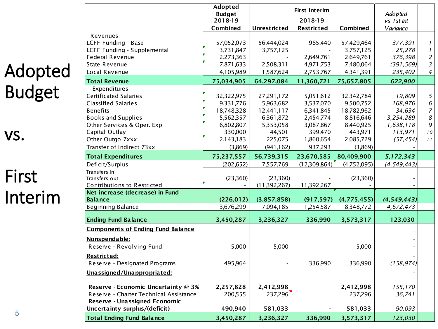| Adopted       |
|---------------|
| <b>Budget</b> |

vs.

## First Interim

|                                            | Adopted<br><b>Budget</b> |                          | Adopted                      |                          |                          |                  |
|--------------------------------------------|--------------------------|--------------------------|------------------------------|--------------------------|--------------------------|------------------|
|                                            | 2018-19<br>Combined      | <b>Unrestricted</b>      | 2018-19<br><b>Restricted</b> | Combined                 | vs 1 st Int<br>Variance  |                  |
| Revenues                                   |                          |                          |                              |                          |                          |                  |
| LCFF Funding - Base                        | 57,052,073               | 56,444,024               | 985,440                      | 57,429,464               | 377,391                  | $\boldsymbol{l}$ |
| LCFF Funding - Supplemental                | 3,731,847                | 3,757,125                | $\sim$                       | 3,757,125                | 25,278                   | $\boldsymbol{l}$ |
| <b>Federal Revenue</b>                     | 2,273,363                |                          | 2,649,761                    | 2,649,761                | 376,398                  | $\overline{c}$   |
| <b>State Revenue</b>                       | 7,871,633                | 2,508,311                | 4,971,753                    | 7,480,064                | (391, 569)               | $\overline{3}$   |
| Local Revenue                              | 4,105,989                | 1,587,624                | 2,753,767                    | 4,341,391                | 235,402                  | 4                |
| <b>Total Revenue</b>                       | 75,034,905               | 64,297,084               | 11,360,721                   | 75,657,805               | 622,900                  |                  |
| Expenditures                               |                          |                          |                              |                          |                          |                  |
| Certificated Salaries                      | 32,322,975               | 27,291,172               | 5,051,612                    | 32,342,784               | 19,809                   | 5                |
| <b>Classified Salaries</b>                 | 9,331,776                | 5,963,682                | 3,537,070                    | 9,500,752                | 168,976                  | 6                |
| <b>Benefits</b>                            | 18,748,328               | 12,441,117               | 6,341,845                    | 18,782,962               | 34,634                   | $\overline{z}$   |
| <b>Books and Supplies</b>                  | 5,562,357                | 6,361,872                | 2,454,774                    | 8,816,646                | 3,254,289                | 8                |
| Other Services & Oper. Exp                 | 6,802,807                | 5,353,058                | 3,087,867                    | 8,440,925                | 1,638,118                | 9                |
| Capital Outlay                             | 330,000                  | 44,501                   | 399,470                      | 443,971                  | 113,971                  | $10$             |
| Other Outgo 7xxx                           | 2,143,183                | 225,075                  | 1,860,654                    | 2,085,729                | (57, 454)                | 11               |
| Transfer of Indirect 73xx                  | (3,869)                  | (941, 162)               | 937,293                      | (3,869)                  |                          |                  |
| <b>Total Expenditures</b>                  | 75,237,557               | 56,739,315               | 23,670,585                   | 80,409,900               | 5,172,343                |                  |
| Deficit/Surplus                            | (202, 652)               | 7,557,769                | (12,309,864)                 | (4,752,095)              | (4, 549, 443)            |                  |
| Transfers In                               |                          |                          |                              |                          |                          |                  |
| Transfers out                              | (23,360)                 | (23,360)                 |                              | (23,360)                 |                          |                  |
| Contributions to Restricted                |                          | (11, 392, 267)           | 11,392,267                   |                          |                          |                  |
| Net increase (decrease) in Fund            |                          |                          |                              |                          |                          |                  |
| <b>Balance</b><br><b>Beginning Balance</b> | (226, 012)<br>3,676,299  | (3,857,858)<br>7,094,185 | (917, 597)<br>1,254,587      | (4,775,455)<br>8,348,772 | (4,549,443)<br>4,672,473 |                  |
|                                            |                          |                          |                              |                          |                          |                  |
| <b>Ending Fund Balance</b>                 | 3,450,287                | 3,236,327                | 336,990                      | 3,573,317                | 123,030                  |                  |
| <b>Components of Ending Fund Balance</b>   |                          |                          |                              |                          |                          |                  |
| Nonspendable:                              |                          |                          |                              |                          |                          |                  |
| Reserve - Revolving Fund                   | 5,000                    | 5,000                    |                              | 5,000                    |                          |                  |
| <b>Restricted:</b>                         |                          |                          |                              |                          |                          |                  |
| Reserve - Designated Programs              | 495,964                  |                          | 336,990                      | 336,990                  | (158, 974)               |                  |
| Unassigned/Unappropriated:                 |                          |                          |                              |                          |                          |                  |
| Reserve - Economic Uncertainty @ 3%        | 2,257,828                | 2,412,998                |                              | 2,412,998                | 155,170                  |                  |
| Reserve - Charter Technical Assistance     | 200,555                  | 237,296                  |                              | 237,296                  | 36,741                   |                  |
| Reserve - Unassigned Economic              |                          |                          |                              |                          |                          |                  |
| Uncertainty surplus/(deficit)              | 490,940                  | 581,033                  |                              | 581,033                  | 90,093                   |                  |
| <b>Total Ending Fund Balance</b>           | 3,450,287                | 3,236,327                | 336,990                      | 3,573,317                | 123,030                  |                  |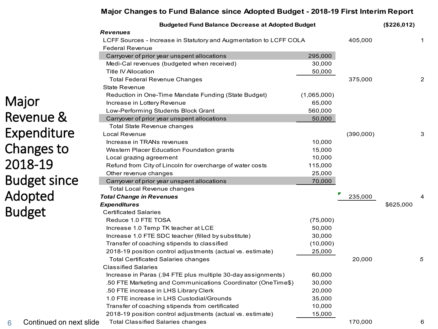#### **Major Changes to Fund Balance since Adopted Budget - 2018-19 First Interim Report**

|                              | <b>Budgeted Fund Balance Decrease at Adopted Budget</b>            |             |           | (\$226,012) |                |
|------------------------------|--------------------------------------------------------------------|-------------|-----------|-------------|----------------|
|                              | <b>Revenues</b>                                                    |             |           |             |                |
|                              | LCFF Sources - Increase in Statutory and Augmentation to LCFF COLA |             | 405,000   |             | 1              |
|                              | <b>Federal Revenue</b>                                             |             |           |             |                |
|                              | Carryover of prior year unspent allocations                        | 295,000     |           |             |                |
|                              | Medi-Cal revenues (budgeted when received)                         | 30,000      |           |             |                |
|                              | Title IV Allocation                                                | 50,000      |           |             |                |
|                              | <b>Total Federal Revenue Changes</b>                               |             | 375,000   |             | $\overline{c}$ |
|                              | State Revenue                                                      |             |           |             |                |
|                              | Reduction in One-Time Mandate Funding (State Budget)               | (1,065,000) |           |             |                |
| Major                        | Increase in Lottery Revenue                                        | 65,000      |           |             |                |
|                              | Low-Performing Students Block Grant                                | 560,000     |           |             |                |
| Revenue &                    | Carryover of prior year unspent allocations                        | 50,000      |           |             |                |
|                              | Total State Revenue changes                                        |             |           |             |                |
| Expenditure                  | Local Revenue                                                      |             | (390,000) |             | 3              |
|                              | Increase in TRANs revenues                                         | 10,000      |           |             |                |
| Changes to                   | Western Placer Education Foundation grants                         | 15,000      |           |             |                |
|                              | Local grazing agreement                                            | 10,000      |           |             |                |
| 2018-19                      | Refund from City of Lincoln for overcharge of water costs          | 115,000     |           |             |                |
|                              | Other revenue changes                                              | 25,000      |           |             |                |
| <b>Budget since</b>          | Carryover of prior year unspent allocations                        | 70,000      |           |             |                |
|                              | <b>Total Local Revenue changes</b>                                 |             |           |             |                |
| Adopted                      | <b>Total Change in Revenues</b>                                    |             | 235,000   |             |                |
|                              | <b>Expenditures</b>                                                |             |           | \$625,000   |                |
| <b>Budget</b>                | <b>Certificated Salaries</b>                                       |             |           |             |                |
|                              | Reduce 1.0 FTE TOSA                                                | (75,000)    |           |             |                |
|                              | Increase 1.0 Temp TK teacher at LCE                                | 50,000      |           |             |                |
|                              | Increase 1.0 FTE SDC teacher (filled by substitute)                | 30,000      |           |             |                |
|                              | Transfer of coaching stipends to classified                        | (10,000)    |           |             |                |
|                              | 2018-19 position control adjustments (actual vs. estimate)         | 25,000      |           |             |                |
|                              | <b>Total Certificated Salaries changes</b>                         |             | 20,000    |             | 5              |
|                              | <b>Classified Salaries</b>                                         |             |           |             |                |
|                              | Increase in Paras (.94 FTE plus multiple 30-day assignments)       | 60,000      |           |             |                |
|                              | .50 FTE Marketing and Communications Coordinator (OneTime\$)       | 30,000      |           |             |                |
|                              | .50 FTE increase in LHS Library Clerk                              | 20,000      |           |             |                |
|                              | 1.0 FTE increase in LHS Custodial/Grounds                          | 35,000      |           |             |                |
|                              | Transfer of coaching stipends from certificated                    | 10,000      |           |             |                |
|                              | 2018-19 position control adjustments (actual vs. estimate)         | 15,000      |           |             |                |
| Continued on next slide<br>6 | <b>Total Classified Salaries changes</b>                           |             | 170,000   |             | 6              |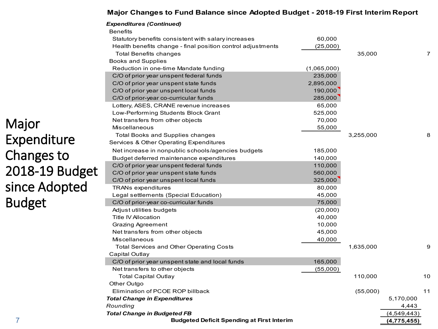#### **Major Changes to Fund Balance since Adopted Budget - 2018-19 First Interim Report**

|                | <b>Expenditures (Continued)</b>                             |             |           |             |    |
|----------------|-------------------------------------------------------------|-------------|-----------|-------------|----|
|                | <b>Benefits</b>                                             |             |           |             |    |
|                | Statutory benefits consistent with salary increases         | 60,000      |           |             |    |
|                | Health benefits change - final position control adjustments | (25,000)    |           |             |    |
|                | Total Benefits changes                                      |             | 35,000    |             | 7  |
|                | <b>Books and Supplies</b>                                   |             |           |             |    |
|                | Reduction in one-time Mandate funding                       | (1,065,000) |           |             |    |
|                | C/O of prior year unspent federal funds                     | 235,000     |           |             |    |
|                | C/O of prior year unspent state funds                       | 2,895,000   |           |             |    |
|                | C/O of prior year unspent local funds                       | 190,000     |           |             |    |
|                | C/O of prior-year co-curricular funds                       | 285,000     |           |             |    |
|                | Lottery, ASES, CRANE revenue increases                      | 65,000      |           |             |    |
|                | Low-Performing Students Block Grant                         | 525,000     |           |             |    |
|                | Net transfers from other objects                            | 70,000      |           |             |    |
| Major          | Miscellaneous                                               | 55,000      |           |             |    |
|                | <b>Total Books and Supplies changes</b>                     |             | 3,255,000 |             | 8  |
| Expenditure    | Services & Other Operating Expenditures                     |             |           |             |    |
|                | Net increase in nonpublic schools/agencies budgets          | 185,000     |           |             |    |
| Changes to     | Budget deferred maintenance expenditures                    | 140,000     |           |             |    |
|                | C/O of prior year unspent federal funds                     | 110,000     |           |             |    |
| 2018-19 Budget | C/O of prior year unspent state funds                       | 560,000     |           |             |    |
|                | C/O of prior year unspent local funds                       | 325,000     |           |             |    |
| since Adopted  | <b>TRANs expenditures</b>                                   | 80,000      |           |             |    |
|                | Legal settlements (Special Education)                       | 45,000      |           |             |    |
| <b>Budget</b>  | C/O of prior-year co-curricular funds                       | 75,000      |           |             |    |
|                | Adjust utilities budgets                                    | (20,000)    |           |             |    |
|                | Title IV Allocation                                         | 40,000      |           |             |    |
|                | Grazing Agreement                                           | 10,000      |           |             |    |
|                | Net transfers from other objects                            | 45,000      |           |             |    |
|                | Miscellaneous                                               | 40,000      |           |             |    |
|                | <b>Total Services and Other Operating Costs</b>             |             | 1,635,000 |             | 9  |
|                | Capital Outlay                                              |             |           |             |    |
|                | C/O of prior year unspent state and local funds             | 165,000     |           |             |    |
|                | Net transfers to other objects                              | (55,000)    |           |             |    |
|                | <b>Total Capital Outlay</b>                                 |             | 110,000   |             | 10 |
|                | Other Outgo                                                 |             |           |             |    |
|                | Elimination of PCOE ROP billback                            |             | (55,000)  |             | 11 |
|                | <b>Total Change in Expenditures</b>                         |             |           | 5,170,000   |    |
|                | Rounding                                                    |             |           | 4,443       |    |
|                | <b>Total Change in Budgeted FB</b>                          |             |           | (4,549,443) |    |
| 7              | <b>Budgeted Deficit Spending at First Interim</b>           |             |           | (4,775,455) |    |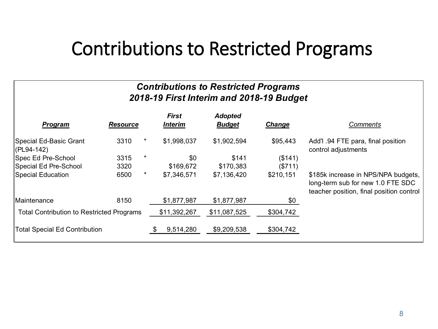## Contributions to Restricted Programs

### *Contributions to Restricted Programs 2018-19 First Interim and 2018-19 Budget*

| <b>Program</b>                                   | <b>Resource</b> |         | <b>First</b><br><b>Interim</b> | <b>Adopted</b><br><b>Budget</b> | Change    | <b>Comments</b>                                                                                                      |
|--------------------------------------------------|-----------------|---------|--------------------------------|---------------------------------|-----------|----------------------------------------------------------------------------------------------------------------------|
| Special Ed-Basic Grant<br>$ $ (PL94-142)         | 3310            | $\star$ | \$1,998,037                    | \$1,902,594                     | \$95,443  | Add'l .94 FTE para, final position<br>control adjustments                                                            |
| Spec Ed Pre-School                               | 3315            | *       | \$0                            | \$141                           | (\$141)   |                                                                                                                      |
| Special Ed Pre-School                            | 3320            |         | \$169,672                      | \$170,383                       | (\$711)   |                                                                                                                      |
| Special Education                                | 6500            | $\star$ | \$7,346,571                    | \$7,136,420                     | \$210,151 | \$185k increase in NPS/NPA budgets,<br>long-term sub for new 1.0 FTE SDC<br>teacher position, final position control |
| IMaintenance                                     | 8150            |         | \$1,877,987                    | \$1,877,987                     | \$0       |                                                                                                                      |
| <b>Total Contribution to Restricted Programs</b> |                 |         | \$11,392,267                   | \$11,087,525                    | \$304,742 |                                                                                                                      |
| <b>Total Special Ed Contribution</b>             |                 |         | 9,514,280                      | \$9,209,538                     | \$304,742 |                                                                                                                      |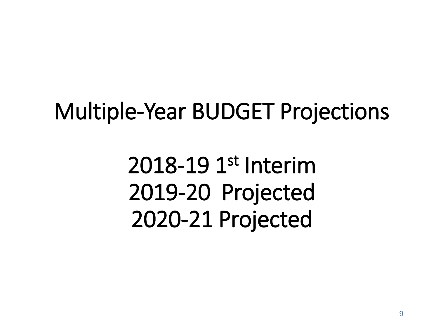## Multiple-Year BUDGET Projections

2018-19 1st Interim 2019-20 Projected 2020-21 Projected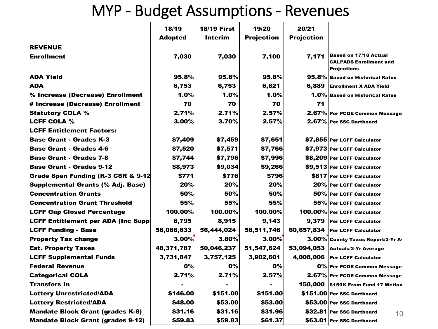## MYP - Budget Assumptions - Revenues

|                                           | 18/19          | <b>18/19 First</b> | 19/20             | 20/21             |                                                                                     |
|-------------------------------------------|----------------|--------------------|-------------------|-------------------|-------------------------------------------------------------------------------------|
|                                           | <b>Adopted</b> | Interim            | <b>Projection</b> | <b>Projection</b> |                                                                                     |
| <b>REVENUE</b>                            |                |                    |                   |                   |                                                                                     |
| <b>Enrollment</b>                         | 7,030          | 7,030              | 7,100             | 7,171             | <b>Based on 17/18 Actual</b><br><b>CALPADS Enrollment and</b><br><b>Projections</b> |
| <b>ADA Yield</b>                          | 95.8%          | 95.8%              | 95.8%             |                   | 95.8% Based on Historical Rates                                                     |
| <b>ADA</b>                                | 6,753          | 6,753              | 6,821             | 6.889             | <b>Enrollment X ADA Yield</b>                                                       |
| % Increase (Decrease) Enrollment          | 1.0%           | 1.0%               | $1.0\%$           |                   | 1.0% Based on Historical Rates                                                      |
| # Increase (Decrease) Enrollment          | 70             | 70                 | 70                | 71                |                                                                                     |
| <b>Statutory COLA %</b>                   | 2.71%          | 2.71%              | 2.57%             |                   | 2.67% Per PCOE Common Message                                                       |
| <b>LCFF COLA %</b>                        | 3.00%          | 3.70%              | 2.57%             |                   | 2.67% Per SSC Dartboard                                                             |
| <b>LCFF Entitlement Factors:</b>          |                |                    |                   |                   |                                                                                     |
| <b>Base Grant - Grades K-3</b>            | \$7,409        | \$7,459            | \$7,651           |                   | \$7,855 Per LCFF Calculator                                                         |
| <b>Base Grant - Grades 4-6</b>            | \$7,520        | \$7,571            | \$7,766           |                   | \$7,973 Per LCFF Calculator                                                         |
| <b>Base Grant - Grades 7-8</b>            | \$7,744        | \$7,796            | \$7,996           |                   | \$8,209 Per LCFF Calculator                                                         |
| <b>Base Grant - Grades 9-12</b>           | \$8,973        | \$9,034            | \$9,266           |                   | \$9,513 Per LCFF Calculator                                                         |
| Grade Span Funding (K-3 CSR & 9-12        | \$771          | \$776              | \$796             |                   | <b>\$817 Per LCFF Calculator</b>                                                    |
| <b>Supplemental Grants (% Adj. Base)</b>  | 20%            | 20%                | 20%               |                   | 20% Per LCFF Calculator                                                             |
| <b>Concentration Grants</b>               | 50%            | 50%                | 50%               |                   | 50% Per LCFF Calculator                                                             |
| <b>Concentration Grant Threshold</b>      | 55%            | 55%                | 55%               |                   | 55% Per LCFF Calculator                                                             |
| <b>LCFF Gap Closed Percentage</b>         | 100.00%        | 100.00%            | 100.00%           |                   | 100.00% Per LCFF Calculator                                                         |
| <b>LCFF Entitlement per ADA (Inc Supp</b> | 8,795          | 8,915              | 9,143             | 9,379             | <b>Per LCFF Calculator</b>                                                          |
| <b>LCFF Funding - Base</b>                | 56,066,633     | 56,444,024         | 58,511,746        |                   | 60,657,834 Per LCFF Calculator                                                      |
| <b>Property Tax change</b>                | $3.00\%$       | 3.80%              | 3.00%             |                   | 3.00% County Taxes Report/3-Yr Av                                                   |
| <b>Est. Property Taxes</b>                | 48,371,787     | 50,046,237         | 51,547,624        |                   | 53,094,053 Actuals/3-Yr Average                                                     |
| <b>LCFF Supplemental Funds</b>            | 3,731,847      | 3,757,125          | 3,902,601         | 4,008,006         | <b>Per LCFF Calculator</b>                                                          |
| <b>Federal Revenue</b>                    | <b>0%</b>      | 0%                 | 0%                |                   | 0% Per PCOE Common Message                                                          |
| <b>Categorical COLA</b>                   | 2.71%          | 2.71%              | 2.57%             |                   | 2.67% Per PCOE Common Message                                                       |
| <b>Transfers In</b>                       |                |                    |                   | 150.000           | \$150K From Fund 17 Wetlan                                                          |
| <b>Lottery Unrestricted/ADA</b>           | \$146.00       | \$151.00           | \$151.00          |                   | \$151.00 Per SSC Dartboard                                                          |
| <b>Lottery Restricted/ADA</b>             | \$48.00        | \$53.00            | \$53.00           |                   | \$53,00 Per SSC Dartboard                                                           |
| <b>Mandate Block Grant (grades K-8)</b>   | \$31.16        | \$31.16            | \$31.96           |                   | \$32.81 Per SSC Dartboard<br>10                                                     |
| <b>Mandate Block Grant (grades 9-12)</b>  | \$59.83        | \$59.83            | \$61.37           |                   | \$63.01 Per SSC Dartboard                                                           |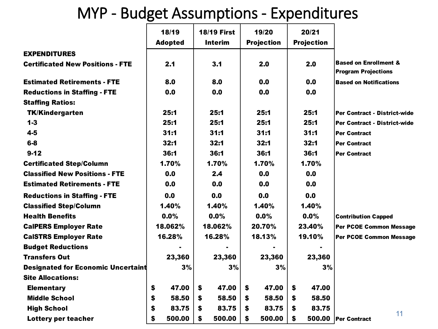## MYP - Budget Assumptions - Expenditures

|                                           | 18/19          | <b>18/19 First</b>    | 19/20             | 20/21             |                                                                |
|-------------------------------------------|----------------|-----------------------|-------------------|-------------------|----------------------------------------------------------------|
|                                           | <b>Adopted</b> | <b>Interim</b>        | <b>Projection</b> | <b>Projection</b> |                                                                |
| <b>EXPENDITURES</b>                       |                |                       |                   |                   |                                                                |
| <b>Certificated New Positions - FTE</b>   | 2.1            | 3.1                   | 2.0               | 2.0               | <b>Based on Enrollment &amp;</b><br><b>Program Projections</b> |
| <b>Estimated Retirements - FTE</b>        | 8.0            | 8.0                   | 0.0               | 0.0               | <b>Based on Notifications</b>                                  |
| <b>Reductions in Staffing - FTE</b>       | 0.0            | 0.0                   | 0.0               | 0.0               |                                                                |
| <b>Staffing Ratios:</b>                   |                |                       |                   |                   |                                                                |
| <b>TK/Kindergarten</b>                    | 25:1           | 25:1                  | 25:1              | 25:1              | Per Contract - District-wide                                   |
| $1 - 3$                                   | 25:1           | 25:1                  | 25:1              | 25:1              | Per Contract - District-wide                                   |
| $4 - 5$                                   | 31:1           | 31:1                  | 31:1              | 31:1              | <b>Per Contract</b>                                            |
| $6-8$                                     | 32:1           | 32:1                  | 32:1              | 32:1              | <b>Per Contract</b>                                            |
| $9 - 12$                                  | 36:1           | 36:1                  | 36:1              | 36:1              | <b>Per Contract</b>                                            |
| <b>Certificated Step/Column</b>           | 1.70%          | 1.70%                 | 1.70%             | 1.70%             |                                                                |
| <b>Classified New Positions - FTE</b>     | 0.0            | 2.4                   | 0.0               | 0.0               |                                                                |
| <b>Estimated Retirements - FTE</b>        | 0.0            | 0.0                   | 0.0               | 0.0               |                                                                |
| <b>Reductions in Staffing - FTE</b>       | 0.0            | 0.0                   | 0.0               | 0.0               |                                                                |
| <b>Classified Step/Column</b>             | 1.40%          | 1.40%                 | 1.40%             | 1.40%             |                                                                |
| <b>Health Benefits</b>                    | 0.0%           | 0.0%                  | 0.0%              | 0.0%              | <b>Contribution Capped</b>                                     |
| <b>CalPERS Employer Rate</b>              | 18.062%        | 18.062%               | 20.70%            | 23.40%            | <b>Per PCOE Common Message</b>                                 |
| <b>CalSTRS Employer Rate</b>              | 16.28%         | 16.28%                | 18.13%            | 19.10%            | Per PCOE Common Message                                        |
| <b>Budget Reductions</b>                  |                |                       |                   |                   |                                                                |
| <b>Transfers Out</b>                      | 23,360         | 23,360                | 23,360            | 23,360            |                                                                |
| <b>Designated for Economic Uncertaint</b> | 3%             | 3%                    | 3%                | 3%                |                                                                |
| <b>Site Allocations:</b>                  |                |                       |                   |                   |                                                                |
| <b>Elementary</b>                         | \$<br>47.00    | \$<br>47.00           | \$<br>47.00       | \$<br>47.00       |                                                                |
| <b>Middle School</b>                      | \$<br>58.50    | $\mathbf{s}$<br>58.50 | \$<br>58.50       | \$<br>58.50       |                                                                |
| <b>High School</b>                        | \$<br>83.75    | 83.75<br>\$           | 83.75<br>\$       | 83.75<br>\$       |                                                                |
| Lottery per teacher                       | \$<br>500.00   | \$<br>500.00          | \$<br>500.00      | \$<br>500.00      | 11<br><b>Per Contract</b>                                      |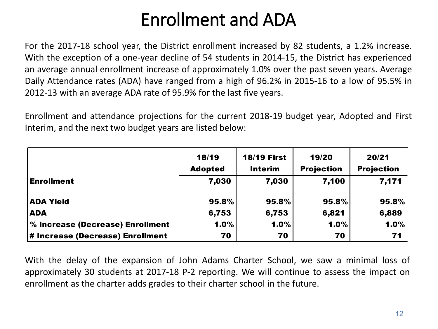## Enrollment and ADA

For the 2017-18 school year, the District enrollment increased by 82 students, a 1.2% increase. With the exception of a one-year decline of 54 students in 2014-15, the District has experienced an average annual enrollment increase of approximately 1.0% over the past seven years. Average Daily Attendance rates (ADA) have ranged from a high of 96.2% in 2015-16 to a low of 95.5% in 2012-13 with an average ADA rate of 95.9% for the last five years.

Enrollment and attendance projections for the current 2018-19 budget year, Adopted and First Interim, and the next two budget years are listed below:

|                                  | 18/19<br><b>Adopted</b> | <b>18/19 First</b><br><b>Interim</b> | 19/20<br><b>Projection</b> | 20/21<br><b>Projection</b> |
|----------------------------------|-------------------------|--------------------------------------|----------------------------|----------------------------|
| <b>Enrollment</b>                | 7,030                   | 7,030                                | 7,100                      | 7,171                      |
| <b>ADA Yield</b>                 | 95.8%                   | 95.8%                                | 95.8%                      | 95.8%                      |
| <b>ADA</b>                       | 6,753                   | 6,753                                | 6,821                      | 6,889                      |
| % Increase (Decrease) Enrollment | 1.0%                    | 1.0%                                 | 1.0%                       | 1.0%                       |
| # Increase (Decrease) Enrollment | 70                      | 70                                   | 70                         | 71                         |

With the delay of the expansion of John Adams Charter School, we saw a minimal loss of approximately 30 students at 2017-18 P-2 reporting. We will continue to assess the impact on enrollment as the charter adds grades to their charter school in the future.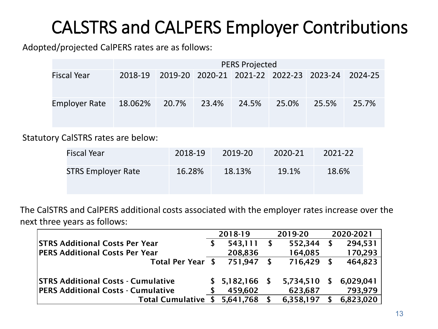## CALSTRS and CALPERS Employer Contributions

Adopted/projected CalPERS rates are as follows:

|                                         | <b>PERS Projected</b> |  |  |  |       |                                                         |       |  |
|-----------------------------------------|-----------------------|--|--|--|-------|---------------------------------------------------------|-------|--|
| <b>Fiscal Year</b>                      |                       |  |  |  |       | 2018-19 2019-20 2020-21 2021-22 2022-23 2023-24 2024-25 |       |  |
| Employer Rate 18.062% 20.7% 23.4% 24.5% |                       |  |  |  | 25.0% | 25.5%                                                   | 25.7% |  |

Statutory CalSTRS rates are below:

| Fiscal Year               | 2018-19 | 2019-20 | 2020-21 | 2021-22 |
|---------------------------|---------|---------|---------|---------|
| <b>STRS Employer Rate</b> | 16.28%  | 18.13%  | 19.1%   | 18.6%   |

The CalSTRS and CalPERS additional costs associated with the employer rates increase over the next three years as follows:

|                                           | 2018-19 |                    |   | 2019-20   |   | 2020-2021 |
|-------------------------------------------|---------|--------------------|---|-----------|---|-----------|
| <b>STRS Additional Costs Per Year</b>     | \$      | 543,111            | S | 552,344   | S | 294,531   |
| <b>PERS Additional Costs Per Year</b>     |         | 208,836            |   | 164,085   |   | 170,293   |
| Total Per Year \$                         |         | 751,947            |   | 716,429   | S | 464,823   |
| <b>STRS Additional Costs - Cumulative</b> |         | $$5,182,166$ \, \$ |   | 5,734,510 | S | 6,029,041 |
| <b>PERS Additional Costs - Cumulative</b> |         | 459,602            |   | 623,687   |   | 793,979   |
| <b>Total Cumulative</b>                   |         | 5,641,768          |   | 6,358,197 |   | 6,823,020 |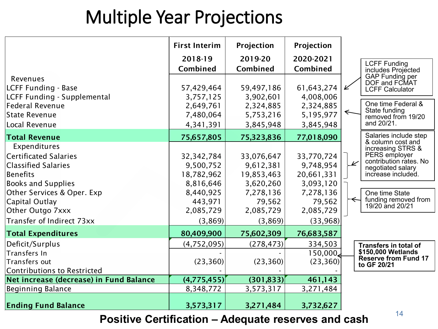## Multiple Year Projections

|                                                                                                                                                                                                                             | <b>First Interim</b>                                                                                 | Projection                                                                                        | Projection                                                                                         |                                                                                                                                                                                      |
|-----------------------------------------------------------------------------------------------------------------------------------------------------------------------------------------------------------------------------|------------------------------------------------------------------------------------------------------|---------------------------------------------------------------------------------------------------|----------------------------------------------------------------------------------------------------|--------------------------------------------------------------------------------------------------------------------------------------------------------------------------------------|
|                                                                                                                                                                                                                             | 2018-19<br>Combined                                                                                  | 2019-20<br>Combined                                                                               | 2020-2021<br>Combined                                                                              | <b>LCFF Funding</b><br>includes Projected                                                                                                                                            |
| Revenues<br><b>LCFF Funding - Base</b><br>LCFF Funding - Supplemental<br><b>Federal Revenue</b>                                                                                                                             | 57,429,464<br>3,757,125<br>2,649,761                                                                 | 59,497,186<br>3,902,601<br>2,324,885                                                              | 61, 643, 274<br>4,008,006<br>2,324,885                                                             | GAP Funding per<br>DOF and FCMAT<br>V<br><b>LCFF Calculator</b><br>One time Federal &                                                                                                |
| State Revenue<br>Local Revenue                                                                                                                                                                                              | 7,480,064<br>4,341,391                                                                               | 5,753,216<br>3,845,948                                                                            | 5,195,977<br>3,845,948                                                                             | State funding<br>removed from 19/20<br>and 20/21.                                                                                                                                    |
| <b>Total Revenue</b>                                                                                                                                                                                                        | 75,657,805                                                                                           | 75,323,836                                                                                        | 77,018,090                                                                                         | Salaries include step<br>& column cost and                                                                                                                                           |
| Expenditures<br><b>Certificated Salaries</b><br><b>Classified Salaries</b><br><b>Benefits</b><br><b>Books and Supplies</b><br>Other Services & Oper. Exp<br>Capital Outlay<br>Other Outgo 7xxx<br>Transfer of Indirect 73xx | 32, 342, 784<br>9,500,752<br>18,782,962<br>8,816,646<br>8,440,925<br>443,971<br>2,085,729<br>(3,869) | 33,076,647<br>9,612,381<br>19,853,463<br>3,620,260<br>7,278,136<br>79,562<br>2,085,729<br>(3,869) | 33,770,724<br>9,748,954<br>20,661,331<br>3,093,120<br>7,278,136<br>79,562<br>2,085,729<br>(33,968) | increasing STRS &<br>PERS employer<br>contribution rates. No<br>$\mathbb{Z}$<br>negotiated salary<br>increase included.<br>One time State<br>funding removed from<br>19/20 and 20/21 |
| <b>Total Expenditures</b>                                                                                                                                                                                                   | 80,409,900                                                                                           | 75,602,309                                                                                        | 76,683,587                                                                                         |                                                                                                                                                                                      |
| Deficit/Surplus<br>Transfers In<br>Transfers out                                                                                                                                                                            | (4,752,095)<br>(23, 360)                                                                             | (278, 473)<br>(23, 360)                                                                           | 334,503<br>150,000<br>(23, 360)                                                                    | <b>Transfers in total of</b><br>\$150,000 Wetlands<br><b>Reserve from Fund 17</b><br>to GF 20/21                                                                                     |
| <b>Contributions to Restricted</b><br>Net increase (decrease) in Fund Balance                                                                                                                                               | (4,775,455)                                                                                          | (301, 833)                                                                                        | 461,143                                                                                            |                                                                                                                                                                                      |
| <b>Beginning Balance</b>                                                                                                                                                                                                    | 8,348,772                                                                                            | 3,573,317                                                                                         | 3,271,484                                                                                          |                                                                                                                                                                                      |
| <b>Ending Fund Balance</b>                                                                                                                                                                                                  | 3,573,317                                                                                            | 3,271,484                                                                                         | 3,732,627                                                                                          |                                                                                                                                                                                      |

<sup>14</sup> **Positive Certification – Adequate reserves and cash**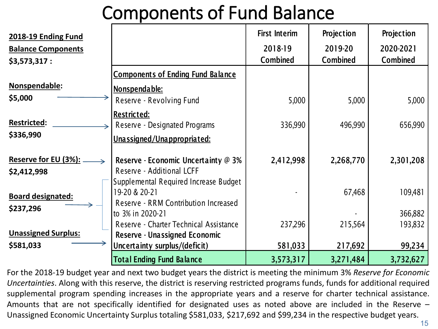## Components of Fund Balance

| 2018-19 Ending Fund<br><b>Balance Components</b><br>\$3,573,317:                                                                                                                                                            |                                                                                                           | <b>First Interim</b><br>2018-19<br><b>Combined</b> | Projection<br>2019-20<br><b>Combined</b> | Projection<br>2020-2021<br><b>Combined</b> |
|-----------------------------------------------------------------------------------------------------------------------------------------------------------------------------------------------------------------------------|-----------------------------------------------------------------------------------------------------------|----------------------------------------------------|------------------------------------------|--------------------------------------------|
|                                                                                                                                                                                                                             | <b>Components of Ending Fund Balance</b>                                                                  |                                                    |                                          |                                            |
| Nonspendable:<br>\$5,000                                                                                                                                                                                                    | Nonspendable:<br>Reserve - Revolving Fund                                                                 | 5,000                                              | 5,000                                    | 5,000                                      |
| <b>Restricted:</b><br>\$336,990                                                                                                                                                                                             | Restricted:<br>Reserve - Designated Programs<br>Unassigned/Unappropriated:                                | 336,990                                            | 496,990                                  | 656,990                                    |
| Reserve for EU (3%): _<br>\$2,412,998                                                                                                                                                                                       | Reserve - Economic Uncertainty @ 3%<br>Reserve - Additional LCFF<br>Supplemental Required Increase Budget | 2,412,998                                          | 2,268,770                                | 2,301,208                                  |
| 19-20 & 20-21<br><b>Board designated:</b><br>Reserve - RRM Contribution Increased<br>\$237,296<br>to 3% in 2020-21<br>Reserve - Charter Technical Assistance<br><b>Unassigned Surplus:</b><br>Reserve - Unassigned Economic |                                                                                                           |                                                    | 67,468                                   | 109,481                                    |
|                                                                                                                                                                                                                             | 237,296                                                                                                   | 215,564                                            | 366,882<br>193,832                       |                                            |
| \$581,033                                                                                                                                                                                                                   | Uncertainty surplus/(deficit)                                                                             | 581,033                                            | 217,692                                  | 99,234                                     |
|                                                                                                                                                                                                                             | <b>Total Ending Fund Balance</b>                                                                          | 3,573,317                                          | 3,271,484                                | 3,732,627                                  |

For the 2018-19 budget year and next two budget years the district is meeting the minimum 3% *Reserve for Economic Uncertainties*. Along with this reserve, the district is reserving restricted programs funds, funds for additional required supplemental program spending increases in the appropriate years and a reserve for charter technical assistance. Amounts that are not specifically identified for designated uses as noted above are included in the Reserve – Unassigned Economic Uncertainty Surplus totaling \$581,033, \$217,692 and \$99,234 in the respective budget years.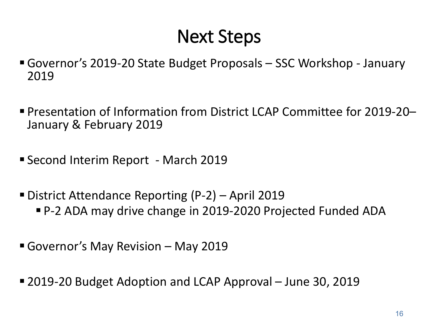## Next Steps

- Governor's 2019-20 State Budget Proposals SSC Workshop January 2019
- Presentation of Information from District LCAP Committee for 2019-20– January & February 2019
- Second Interim Report March 2019
- District Attendance Reporting (P-2) April 2019
	- P-2 ADA may drive change in 2019-2020 Projected Funded ADA
- Governor's May Revision May 2019
- 2019-20 Budget Adoption and LCAP Approval June 30, 2019